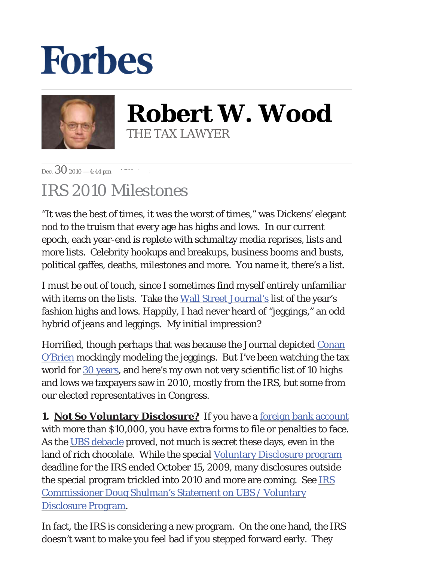## **Forbes**



**Robert W. Wood** THE TAX LAWYER

Dec.30 2010 — 4:44 pm *1,783 views*

## IRS 2010 Milestones

"It was the best of times, it was the worst of times," was Dickens' elegant nod to the truism that every age has highs and lows. In our current epoch, each year-end is replete with schmaltzy media reprises, lists and more lists. Celebrity hookups and breakups, business booms and busts, political gaffes, deaths, milestones and more. You name it, there's a list.

I must be out of touch, since I sometimes find myself entirely unfamiliar with items on the lists. Take the [Wall Street Journal's](http://online.wsj.com/article/SB10001424052970203525404576049672013708068.html) list of the year's fashion highs and lows. Happily, I had never heard of "jeggings," an odd hybrid of jeans and leggings. My initial impression?

Horrified, though perhaps that was because the Journal depicted [Conan](http://online.wsj.com/article/SB10001424052970203525404576049672013708068.html) [O'Brien](http://online.wsj.com/article/SB10001424052970203525404576049672013708068.html) mockingly modeling the jeggings. But I've been watching the tax world for [30 years](http://www.forbes.com/2010/06/09/tax-tales-irs-sex-marriage-wrongful-imprisonment-personal-finance-robert-wood.html), and here's my own not very scientific list of 10 highs and lows we taxpayers saw in 2010, mostly from the IRS, but some from our elected representatives in Congress.

**1. Not So Voluntary Disclosure?** If you have a <u>[foreign bank account](http://blogs.forbes.com/robertwood/2010/11/01/still-more-foreign-account-worries/)</u> with more than \$10,000, you have extra forms to file or penalties to face. As the [UBS debacle](http://www.nytimes.com/2010/06/18/business/global/18ubs.html) proved, not much is secret these days, even in the land of rich chocolate. While the special [Voluntary Disclosure program](http://www.irs.gov/newsroom/article/0,,id=210027,00.html) deadline for the IRS ended October 15, 2009, many disclosures outside the special program trickled into 2010 and more are coming. See [IRS](http://www.irs.gov/newsroom/article/0,,id=231520,00.html)  [Commissioner Doug Shulman's Statement on UBS / Voluntary](http://www.irs.gov/newsroom/article/0,,id=231520,00.html)  [Disclosure Program.](http://www.irs.gov/newsroom/article/0,,id=231520,00.html)

In fact, the IRS is considering a new program. On the one hand, the IRS doesn't want to make you feel bad if you stepped forward early. They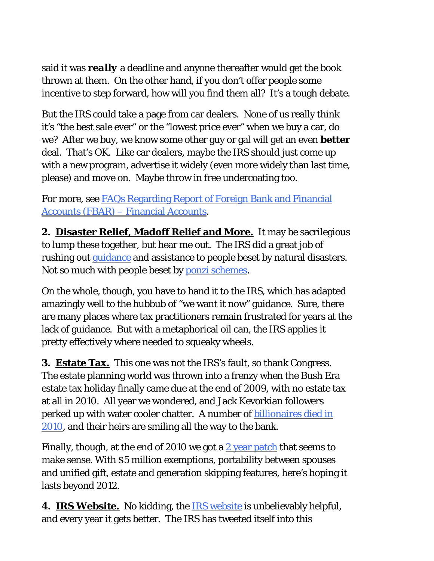said it was *really* a deadline and anyone thereafter would get the book thrown at them. On the other hand, if you don't offer people some incentive to step forward, how will you find them all? It's a tough debate.

But the IRS could take a page from car dealers. None of us really think it's "the best sale ever" or the "lowest price ever" when we buy a car, do we? After we buy, we know some other guy or gal will get an even *better* deal. That's OK. Like car dealers, maybe the IRS should just come up with a new program, advertise it widely (even more widely than last time, please) and move on. Maybe throw in free undercoating too.

For more, see [FAQs Regarding Report of Foreign Bank and Financial](http://www.irs.gov/businesses/small/article/0,,id=210249,00.html)  [Accounts \(FBAR\) – Financial Accounts.](http://www.irs.gov/businesses/small/article/0,,id=210249,00.html)

**2.****Disaster Relief, Madoff Relief and More.** It may be sacrilegious to lump these together, but hear me out. The IRS did a great job of rushing ou[t guidance](http://www.irs.gov/businesses/small/article/0,,id=156138,00.html) and assistance to people beset by natural disasters. Not so much with people beset by [ponzi schemes](http://www.irs.gov/newsroom/article/0,,id=206013,00.html).

On the whole, though, you have to hand it to the IRS, which has adapted amazingly well to the hubbub of "we want it now" guidance. Sure, there are many places where tax practitioners remain frustrated for years at the lack of guidance. But with a metaphorical oil can, the IRS applies it pretty effectively where needed to squeaky wheels.

**3. Estate Tax.** This one was not the IRS's fault, so thank Congress. The estate planning world was thrown into a frenzy when the Bush Era estate tax holiday finally came due at the end of 2009, with no estate tax at all in 2010. All year we wondered, and Jack Kevorkian followers perked up with water cooler chatter. A number of [billionaires died in](http://mhs.typepad.com/threepointfive-45/dying-free-of-the-federal-estate-tax-billionaire-deaths-in-2010.html) [2010](http://mhs.typepad.com/threepointfive-45/dying-free-of-the-federal-estate-tax-billionaire-deaths-in-2010.html), and their heirs are smiling all the way to the bank.

Finally, though, at the end of 2010 we got a [2 year patch](http://blogs.forbes.com/robertwood/2010/12/17/amt-patch-nicely-embroidered/) that seems to make sense. With \$5 million exemptions, portability between spouses and unified gift, estate and generation skipping features, here's hoping it lasts beyond 2012.

**4. IRS Website.** No kidding, the [IRS website](http://www.irs.gov/) is unbelievably helpful, and every year it gets better. The IRS has tweeted itself into this